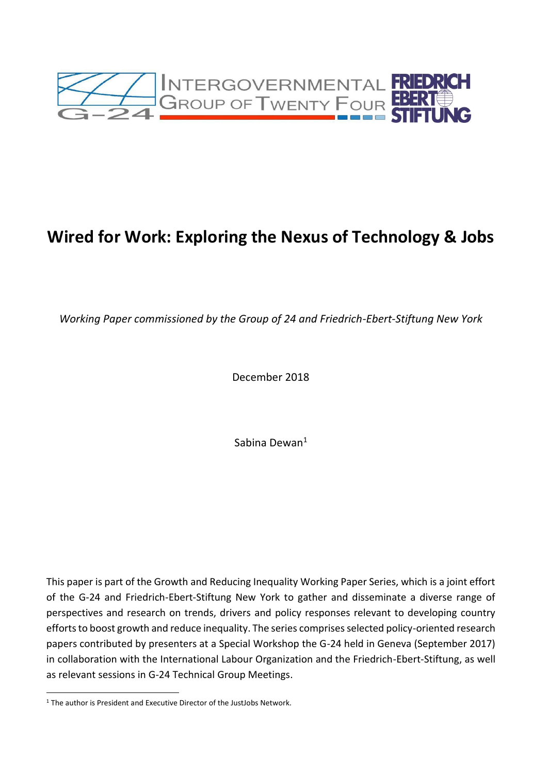

# **Wired for Work: Exploring the Nexus of Technology & Jobs**

*Working Paper commissioned by the Group of 24 and Friedrich-Ebert-Stiftung New York*

December 2018

Sabina Dewan<sup>1</sup>

This paper is part of the Growth and Reducing Inequality Working Paper Series, which is a joint effort of the G-24 and Friedrich-Ebert-Stiftung New York to gather and disseminate a diverse range of perspectives and research on trends, drivers and policy responses relevant to developing country efforts to boost growth and reduce inequality. The series comprises selected policy-oriented research papers contributed by presenters at a Special Workshop the G-24 held in Geneva (September 2017) in collaboration with the International Labour Organization and the Friedrich-Ebert-Stiftung, as well as relevant sessions in G-24 Technical Group Meetings.

<sup>&</sup>lt;sup>1</sup> The author is President and Executive Director of the JustJobs Network.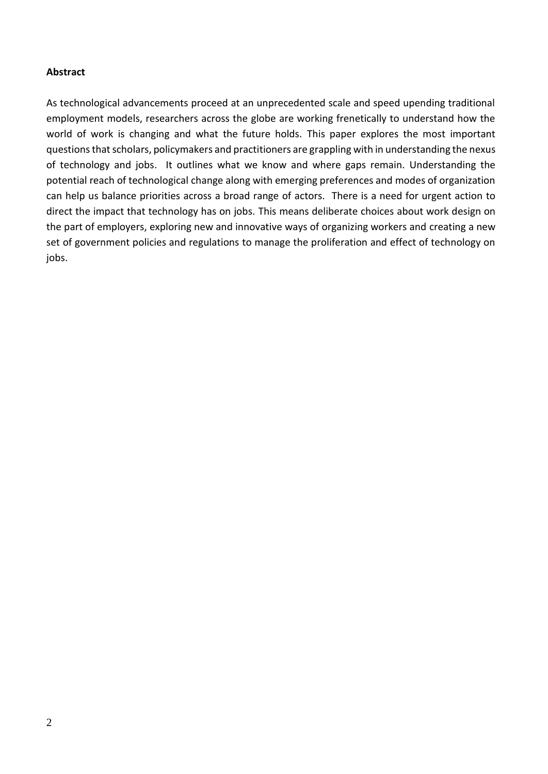#### **Abstract**

As technological advancements proceed at an unprecedented scale and speed upending traditional employment models, researchers across the globe are working frenetically to understand how the world of work is changing and what the future holds. This paper explores the most important questions that scholars, policymakers and practitioners are grappling with in understanding the nexus of technology and jobs. It outlines what we know and where gaps remain. Understanding the potential reach of technological change along with emerging preferences and modes of organization can help us balance priorities across a broad range of actors. There is a need for urgent action to direct the impact that technology has on jobs. This means deliberate choices about work design on the part of employers, exploring new and innovative ways of organizing workers and creating a new set of government policies and regulations to manage the proliferation and effect of technology on jobs.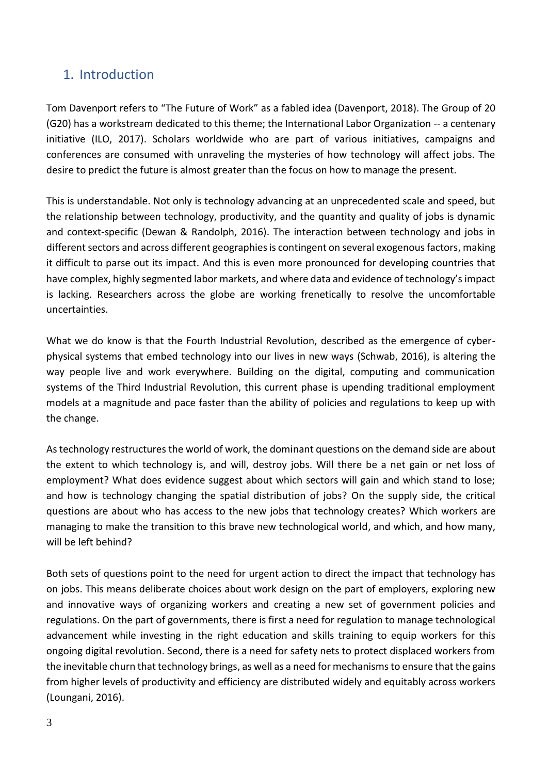# 1. Introduction

Tom Davenport refers to "The Future of Work" as a fabled idea (Davenport, 2018). The Group of 20 (G20) has a workstream dedicated to this theme; the International Labor Organization -- a centenary initiative (ILO, 2017). Scholars worldwide who are part of various initiatives, campaigns and conferences are consumed with unraveling the mysteries of how technology will affect jobs. The desire to predict the future is almost greater than the focus on how to manage the present.

This is understandable. Not only is technology advancing at an unprecedented scale and speed, but the relationship between technology, productivity, and the quantity and quality of jobs is dynamic and context-specific (Dewan & Randolph, 2016). The interaction between technology and jobs in different sectors and across different geographies is contingent on several exogenous factors, making it difficult to parse out its impact. And this is even more pronounced for developing countries that have complex, highly segmented labor markets, and where data and evidence of technology's impact is lacking. Researchers across the globe are working frenetically to resolve the uncomfortable uncertainties.

What we do know is that the Fourth Industrial Revolution, described as the emergence of cyberphysical systems that embed technology into our lives in new ways (Schwab, 2016), is altering the way people live and work everywhere. Building on the digital, computing and communication systems of the Third Industrial Revolution, this current phase is upending traditional employment models at a magnitude and pace faster than the ability of policies and regulations to keep up with the change.

As technology restructures the world of work, the dominant questions on the demand side are about the extent to which technology is, and will, destroy jobs. Will there be a net gain or net loss of employment? What does evidence suggest about which sectors will gain and which stand to lose; and how is technology changing the spatial distribution of jobs? On the supply side, the critical questions are about who has access to the new jobs that technology creates? Which workers are managing to make the transition to this brave new technological world, and which, and how many, will be left behind?

Both sets of questions point to the need for urgent action to direct the impact that technology has on jobs. This means deliberate choices about work design on the part of employers, exploring new and innovative ways of organizing workers and creating a new set of government policies and regulations. On the part of governments, there is first a need for regulation to manage technological advancement while investing in the right education and skills training to equip workers for this ongoing digital revolution. Second, there is a need for safety nets to protect displaced workers from the inevitable churn that technology brings, as well as a need for mechanisms to ensure that the gains from higher levels of productivity and efficiency are distributed widely and equitably across workers (Loungani, 2016).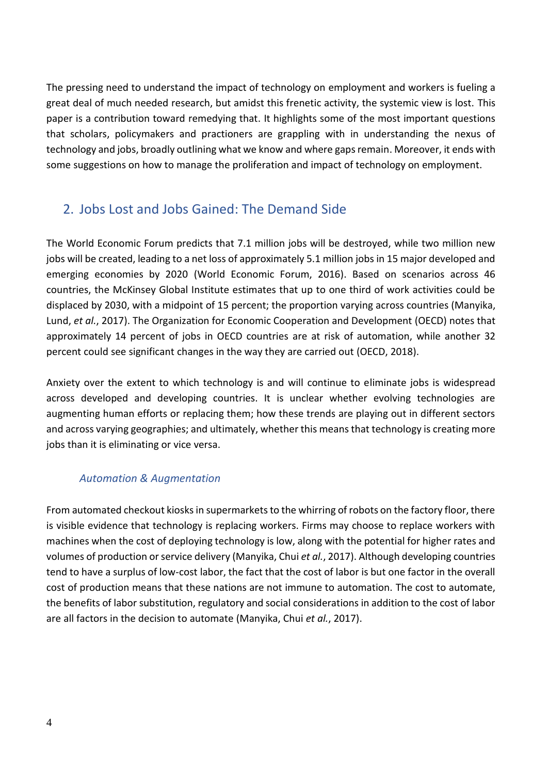The pressing need to understand the impact of technology on employment and workers is fueling a great deal of much needed research, but amidst this frenetic activity, the systemic view is lost. This paper is a contribution toward remedying that. It highlights some of the most important questions that scholars, policymakers and practioners are grappling with in understanding the nexus of technology and jobs, broadly outlining what we know and where gaps remain. Moreover, it ends with some suggestions on how to manage the proliferation and impact of technology on employment.

# 2. Jobs Lost and Jobs Gained: The Demand Side

The World Economic Forum predicts that 7.1 million jobs will be destroyed, while two million new jobs will be created, leading to a net loss of approximately 5.1 million jobs in 15 major developed and emerging economies by 2020 (World Economic Forum, 2016). Based on scenarios across 46 countries, the McKinsey Global Institute estimates that up to one third of work activities could be displaced by 2030, with a midpoint of 15 percent; the proportion varying across countries (Manyika, Lund, *et al.*, 2017). The Organization for Economic Cooperation and Development (OECD) notes that approximately 14 percent of jobs in OECD countries are at risk of automation, while another 32 percent could see significant changes in the way they are carried out (OECD, 2018).

Anxiety over the extent to which technology is and will continue to eliminate jobs is widespread across developed and developing countries. It is unclear whether evolving technologies are augmenting human efforts or replacing them; how these trends are playing out in different sectors and across varying geographies; and ultimately, whether this means that technology is creating more jobs than it is eliminating or vice versa.

## *Automation & Augmentation*

From automated checkout kiosks in supermarkets to the whirring of robots on the factory floor, there is visible evidence that technology is replacing workers. Firms may choose to replace workers with machines when the cost of deploying technology is low, along with the potential for higher rates and volumes of production or service delivery (Manyika, Chui *et al.*, 2017). Although developing countries tend to have a surplus of low-cost labor, the fact that the cost of labor is but one factor in the overall cost of production means that these nations are not immune to automation. The cost to automate, the benefits of labor substitution, regulatory and social considerations in addition to the cost of labor are all factors in the decision to automate (Manyika, Chui *et al.*, 2017).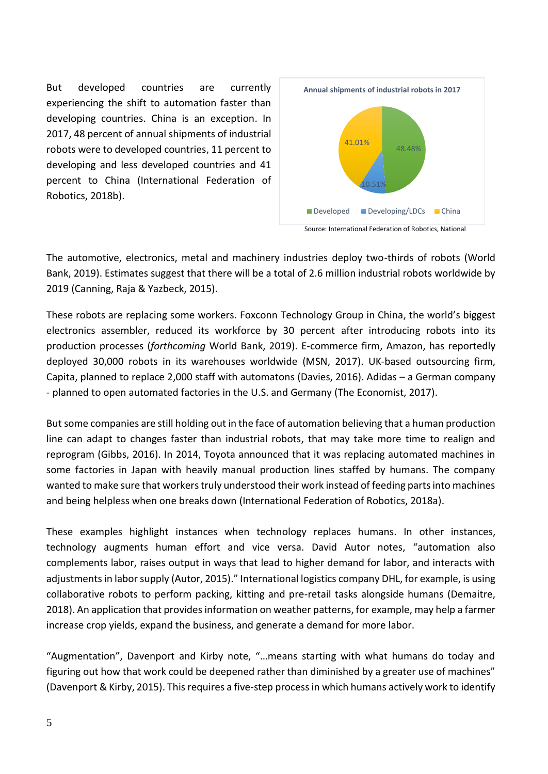But developed countries are currently experiencing the shift to automation faster than developing countries. China is an exception. In 2017, 48 percent of annual shipments of industrial robots were to developed countries, 11 percent to developing and less developed countries and 41 percent to China (International Federation of Robotics, 2018b).



Source: International Federation of Robotics, National

The automotive, electronics, metal and machinery industries deploy two-thirds of robots (World Bank, 2019). Estimates suggest that there will be a total of 2.6 million industrial robots worldwide by 2019 (Canning, Raja & Yazbeck, 2015).

These robots are replacing some workers. Foxconn Technology Group in China, the world's biggest electronics assembler, reduced its workforce by 30 percent after introducing robots into its production processes (*forthcoming* World Bank, 2019). E-commerce firm, Amazon, has reportedly deployed 30,000 robots in its warehouses worldwide (MSN, 2017). UK-based outsourcing firm, Capita, planned to replace 2,000 staff with automatons (Davies, 2016). Adidas – a German company - planned to open automated factories in the U.S. and Germany (The Economist, 2017).

But some companies are still holding out in the face of automation believing that a human production line can adapt to changes faster than industrial robots, that may take more time to realign and reprogram (Gibbs, 2016). In 2014, Toyota announced that it was replacing automated machines in some factories in Japan with heavily manual production lines staffed by humans. The company wanted to make sure that workers truly understood their work instead of feeding parts into machines and being helpless when one breaks down (International Federation of Robotics, 2018a).

These examples highlight instances when technology replaces humans. In other instances, technology augments human effort and vice versa. David Autor notes, "automation also complements labor, raises output in ways that lead to higher demand for labor, and interacts with adjustments in labor supply (Autor, 2015)." International logistics company DHL, for example, is using collaborative robots to perform packing, kitting and pre-retail tasks alongside humans (Demaitre, 2018). An application that provides information on weather patterns, for example, may help a farmer increase crop yields, expand the business, and generate a demand for more labor.

"Augmentation", Davenport and Kirby note, "…means starting with what humans do today and figuring out how that work could be deepened rather than diminished by a greater use of machines" (Davenport & Kirby, 2015). Thisrequires a five-step process in which humans actively work to identify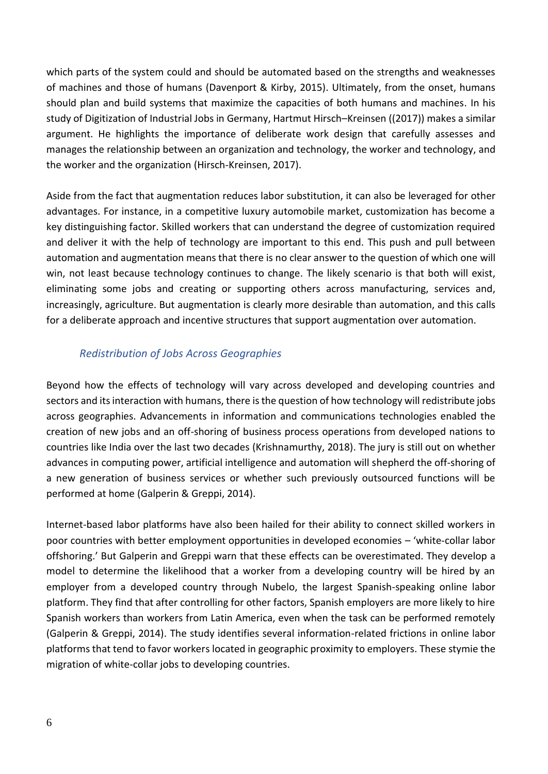which parts of the system could and should be automated based on the strengths and weaknesses of machines and those of humans (Davenport & Kirby, 2015). Ultimately, from the onset, humans should plan and build systems that maximize the capacities of both humans and machines. In his study of Digitization of Industrial Jobs in Germany, Hartmut Hirsch–Kreinsen ((2017)) makes a similar argument. He highlights the importance of deliberate work design that carefully assesses and manages the relationship between an organization and technology, the worker and technology, and the worker and the organization (Hirsch-Kreinsen, 2017).

Aside from the fact that augmentation reduces labor substitution, it can also be leveraged for other advantages. For instance, in a competitive luxury automobile market, customization has become a key distinguishing factor. Skilled workers that can understand the degree of customization required and deliver it with the help of technology are important to this end. This push and pull between automation and augmentation means that there is no clear answer to the question of which one will win, not least because technology continues to change. The likely scenario is that both will exist, eliminating some jobs and creating or supporting others across manufacturing, services and, increasingly, agriculture. But augmentation is clearly more desirable than automation, and this calls for a deliberate approach and incentive structures that support augmentation over automation.

### *Redistribution of Jobs Across Geographies*

Beyond how the effects of technology will vary across developed and developing countries and sectors and its interaction with humans, there is the question of how technology will redistribute jobs across geographies. Advancements in information and communications technologies enabled the creation of new jobs and an off-shoring of business process operations from developed nations to countries like India over the last two decades (Krishnamurthy, 2018). The jury is still out on whether advances in computing power, artificial intelligence and automation will shepherd the off-shoring of a new generation of business services or whether such previously outsourced functions will be performed at home (Galperin & Greppi, 2014).

Internet-based labor platforms have also been hailed for their ability to connect skilled workers in poor countries with better employment opportunities in developed economies – 'white-collar labor offshoring.' But Galperin and Greppi warn that these effects can be overestimated. They develop a model to determine the likelihood that a worker from a developing country will be hired by an employer from a developed country through Nubelo, the largest Spanish-speaking online labor platform. They find that after controlling for other factors, Spanish employers are more likely to hire Spanish workers than workers from Latin America, even when the task can be performed remotely (Galperin & Greppi, 2014). The study identifies several information-related frictions in online labor platforms that tend to favor workers located in geographic proximity to employers. These stymie the migration of white-collar jobs to developing countries.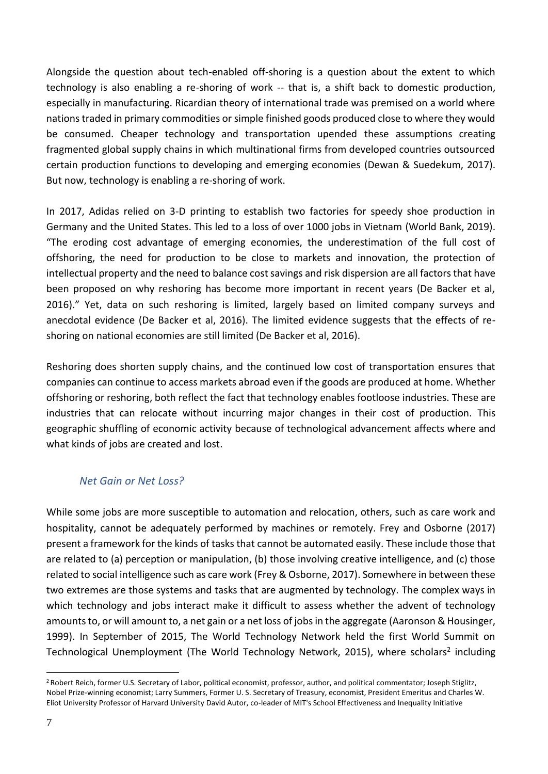Alongside the question about tech-enabled off-shoring is a question about the extent to which technology is also enabling a re-shoring of work -- that is, a shift back to domestic production, especially in manufacturing. Ricardian theory of international trade was premised on a world where nations traded in primary commodities or simple finished goods produced close to where they would be consumed. Cheaper technology and transportation upended these assumptions creating fragmented global supply chains in which multinational firms from developed countries outsourced certain production functions to developing and emerging economies (Dewan & Suedekum, 2017). But now, technology is enabling a re-shoring of work.

In 2017, Adidas relied on 3-D printing to establish two factories for speedy shoe production in Germany and the United States. This led to a loss of over 1000 jobs in Vietnam (World Bank, 2019). "The eroding cost advantage of emerging economies, the underestimation of the full cost of offshoring, the need for production to be close to markets and innovation, the protection of intellectual property and the need to balance cost savings and risk dispersion are all factors that have been proposed on why reshoring has become more important in recent years (De Backer et al, 2016)." Yet, data on such reshoring is limited, largely based on limited company surveys and anecdotal evidence (De Backer et al, 2016). The limited evidence suggests that the effects of reshoring on national economies are still limited (De Backer et al, 2016).

Reshoring does shorten supply chains, and the continued low cost of transportation ensures that companies can continue to access markets abroad even if the goods are produced at home. Whether offshoring or reshoring, both reflect the fact that technology enables footloose industries. These are industries that can relocate without incurring major changes in their cost of production. This geographic shuffling of economic activity because of technological advancement affects where and what kinds of jobs are created and lost.

### *Net Gain or Net Loss?*

While some jobs are more susceptible to automation and relocation, others, such as care work and hospitality, cannot be adequately performed by machines or remotely. Frey and Osborne (2017) present a framework for the kinds of tasks that cannot be automated easily. These include those that are related to (a) perception or manipulation, (b) those involving creative intelligence, and (c) those related to social intelligence such as care work (Frey & Osborne, 2017). Somewhere in between these two extremes are those systems and tasks that are augmented by technology. The complex ways in which technology and jobs interact make it difficult to assess whether the advent of technology amounts to, or will amount to, a net gain or a net loss of jobs in the aggregate (Aaronson & Housinger, 1999). In September of 2015, The World Technology Network held the first World Summit on Technological Unemployment (The World Technology Network, 2015), where scholars<sup>2</sup> including

<sup>2</sup> Robert Reich, former U.S. Secretary of Labor, political economist, professor, author, and political commentator; Joseph Stiglitz, Nobel Prize-winning economist; Larry Summers, Former U. S. Secretary of Treasury, economist, President Emeritus and Charles W. Eliot University Professor of Harvard University David Autor, co-leader of MIT's School Effectiveness and Inequality Initiative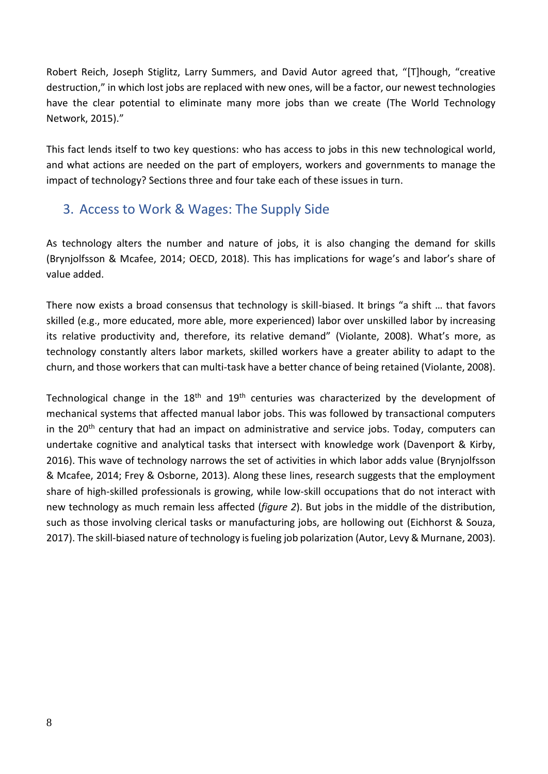Robert Reich, Joseph Stiglitz, Larry Summers, and David Autor agreed that, "[T]hough, "creative destruction," in which lost jobs are replaced with new ones, will be a factor, our newest technologies have the clear potential to eliminate many more jobs than we create (The World Technology Network, 2015)."

This fact lends itself to two key questions: who has access to jobs in this new technological world, and what actions are needed on the part of employers, workers and governments to manage the impact of technology? Sections three and four take each of these issues in turn.

# 3. Access to Work & Wages: The Supply Side

As technology alters the number and nature of jobs, it is also changing the demand for skills (Brynjolfsson & Mcafee, 2014; OECD, 2018). This has implications for wage's and labor's share of value added.

There now exists a broad consensus that technology is skill-biased. It brings "a shift … that favors skilled (e.g., more educated, more able, more experienced) labor over unskilled labor by increasing its relative productivity and, therefore, its relative demand" (Violante, 2008). What's more, as technology constantly alters labor markets, skilled workers have a greater ability to adapt to the churn, and those workers that can multi-task have a better chance of being retained (Violante, 2008).

Technological change in the  $18<sup>th</sup>$  and  $19<sup>th</sup>$  centuries was characterized by the development of mechanical systems that affected manual labor jobs. This was followed by transactional computers in the  $20<sup>th</sup>$  century that had an impact on administrative and service jobs. Today, computers can undertake cognitive and analytical tasks that intersect with knowledge work (Davenport & Kirby, 2016). This wave of technology narrows the set of activities in which labor adds value (Brynjolfsson & Mcafee, 2014; Frey & Osborne, 2013). Along these lines, research suggests that the employment share of high-skilled professionals is growing, while low-skill occupations that do not interact with new technology as much remain less affected (*figure 2*). But jobs in the middle of the distribution, such as those involving clerical tasks or manufacturing jobs, are hollowing out (Eichhorst & Souza, 2017). The skill-biased nature of technology is fueling job polarization (Autor, Levy & Murnane, 2003).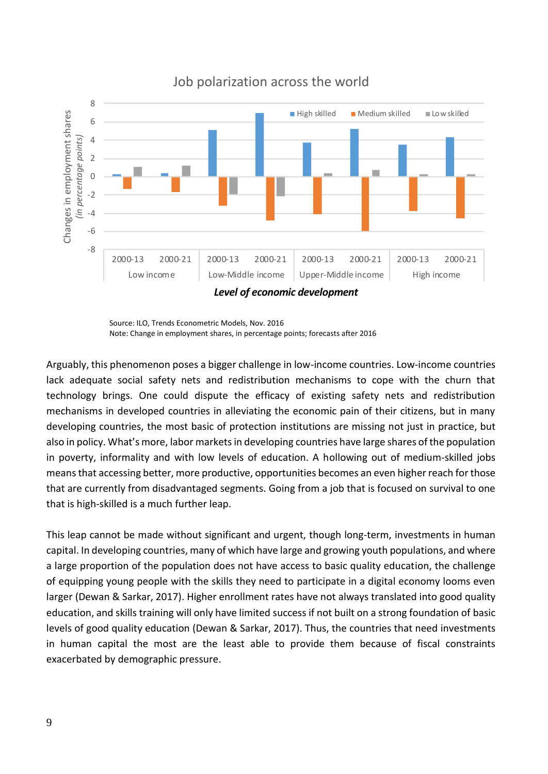

Job polarization across the world

Arguably, this phenomenon poses a bigger challenge in low-income countries. Low-income countries lack adequate social safety nets and redistribution mechanisms to cope with the churn that technology brings. One could dispute the efficacy of existing safety nets and redistribution mechanisms in developed countries in alleviating the economic pain of their citizens, but in many developing countries, the most basic of protection institutions are missing not just in practice, but also in policy. What's more, labor marketsin developing countries have large shares of the population in poverty, informality and with low levels of education. A hollowing out of medium-skilled jobs means that accessing better, more productive, opportunities becomes an even higher reach for those that are currently from disadvantaged segments. Going from a job that is focused on survival to one that is high-skilled is a much further leap.

This leap cannot be made without significant and urgent, though long-term, investments in human capital. In developing countries, many of which have large and growing youth populations, and where a large proportion of the population does not have access to basic quality education, the challenge of equipping young people with the skills they need to participate in a digital economy looms even larger (Dewan & Sarkar, 2017). Higher enrollment rates have not always translated into good quality education, and skills training will only have limited success if not built on a strong foundation of basic levels of good quality education (Dewan & Sarkar, 2017). Thus, the countries that need investments in human capital the most are the least able to provide them because of fiscal constraints exacerbated by demographic pressure.

Source: ILO, Trends Econometric Models, Nov. 2016 Note: Change in employment shares, in percentage points; forecasts after 2016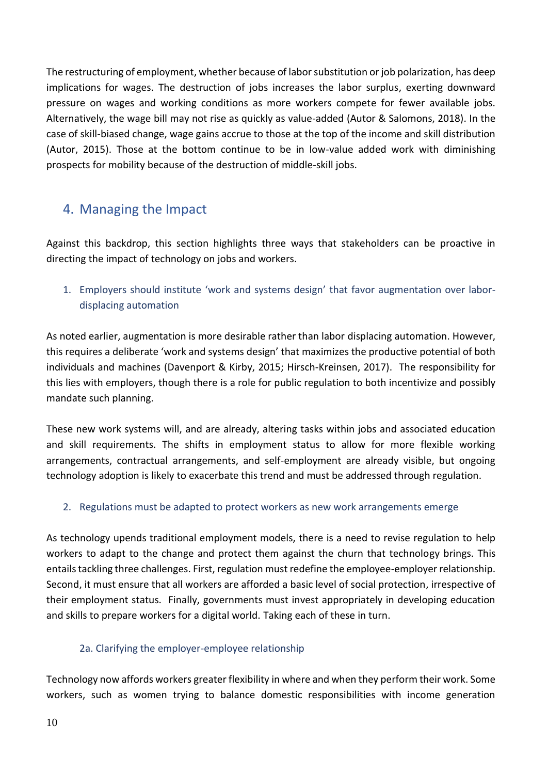The restructuring of employment, whether because of labor substitution or job polarization, has deep implications for wages. The destruction of jobs increases the labor surplus, exerting downward pressure on wages and working conditions as more workers compete for fewer available jobs. Alternatively, the wage bill may not rise as quickly as value-added (Autor & Salomons, 2018). In the case of skill-biased change, wage gains accrue to those at the top of the income and skill distribution (Autor, 2015). Those at the bottom continue to be in low-value added work with diminishing prospects for mobility because of the destruction of middle-skill jobs.

# 4. Managing the Impact

Against this backdrop, this section highlights three ways that stakeholders can be proactive in directing the impact of technology on jobs and workers.

1. Employers should institute 'work and systems design' that favor augmentation over labordisplacing automation

As noted earlier, augmentation is more desirable rather than labor displacing automation. However, this requires a deliberate 'work and systems design' that maximizes the productive potential of both individuals and machines (Davenport & Kirby, 2015; Hirsch-Kreinsen, 2017). The responsibility for this lies with employers, though there is a role for public regulation to both incentivize and possibly mandate such planning.

These new work systems will, and are already, altering tasks within jobs and associated education and skill requirements. The shifts in employment status to allow for more flexible working arrangements, contractual arrangements, and self-employment are already visible, but ongoing technology adoption is likely to exacerbate this trend and must be addressed through regulation.

### 2. Regulations must be adapted to protect workers as new work arrangements emerge

As technology upends traditional employment models, there is a need to revise regulation to help workers to adapt to the change and protect them against the churn that technology brings. This entails tackling three challenges. First, regulation must redefine the employee-employer relationship. Second, it must ensure that all workers are afforded a basic level of social protection, irrespective of their employment status. Finally, governments must invest appropriately in developing education and skills to prepare workers for a digital world. Taking each of these in turn.

### 2a. Clarifying the employer-employee relationship

Technology now affords workers greater flexibility in where and when they perform their work. Some workers, such as women trying to balance domestic responsibilities with income generation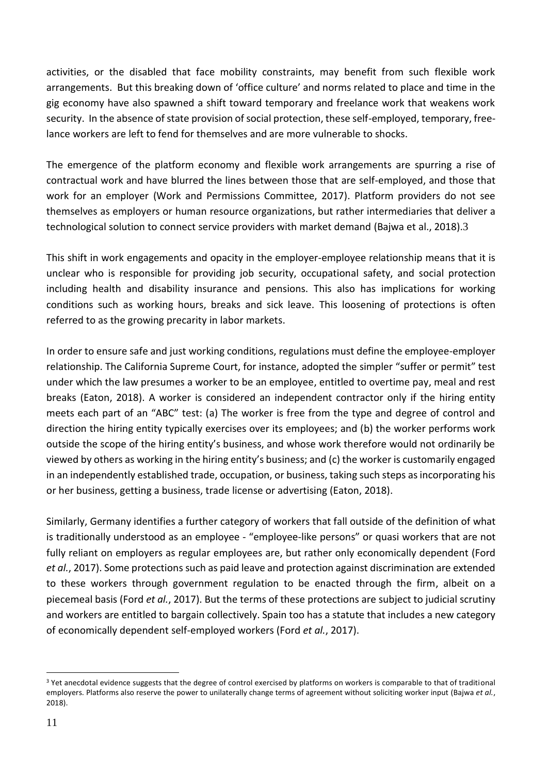activities, or the disabled that face mobility constraints, may benefit from such flexible work arrangements. But this breaking down of 'office culture' and norms related to place and time in the gig economy have also spawned a shift toward temporary and freelance work that weakens work security. In the absence of state provision of social protection, these self-employed, temporary, freelance workers are left to fend for themselves and are more vulnerable to shocks.

The emergence of the platform economy and flexible work arrangements are spurring a rise of contractual work and have blurred the lines between those that are self-employed, and those that work for an employer (Work and Permissions Committee, 2017). Platform providers do not see themselves as employers or human resource organizations, but rather intermediaries that deliver a technological solution to connect service providers with market demand (Bajwa et al., 2018).3

This shift in work engagements and opacity in the employer-employee relationship means that it is unclear who is responsible for providing job security, occupational safety, and social protection including health and disability insurance and pensions. This also has implications for working conditions such as working hours, breaks and sick leave. This loosening of protections is often referred to as the growing precarity in labor markets.

In order to ensure safe and just working conditions, regulations must define the employee-employer relationship. The California Supreme Court, for instance, adopted the simpler "suffer or permit" test under which the law presumes a worker to be an employee, entitled to overtime pay, meal and rest breaks (Eaton, 2018). A worker is considered an independent contractor only if the hiring entity meets each part of an "ABC" test: (a) The worker is free from the type and degree of control and direction the hiring entity typically exercises over its employees; and (b) the worker performs work outside the scope of the hiring entity's business, and whose work therefore would not ordinarily be viewed by others as working in the hiring entity's business; and (c) the worker is customarily engaged in an independently established trade, occupation, or business, taking such steps as incorporating his or her business, getting a business, trade license or advertising (Eaton, 2018).

Similarly, Germany identifies a further category of workers that fall outside of the definition of what is traditionally understood as an employee - "employee-like persons" or quasi workers that are not fully reliant on employers as regular employees are, but rather only economically dependent (Ford *et al.*, 2017). Some protections such as paid leave and protection against discrimination are extended to these workers through government regulation to be enacted through the firm, albeit on a piecemeal basis (Ford *et al.*, 2017). But the terms of these protections are subject to judicial scrutiny and workers are entitled to bargain collectively. Spain too has a statute that includes a new category of economically dependent self-employed workers (Ford *et al.*, 2017).

<sup>&</sup>lt;sup>3</sup> Yet anecdotal evidence suggests that the degree of control exercised by platforms on workers is comparable to that of traditional employers. Platforms also reserve the power to unilaterally change terms of agreement without soliciting worker input (Bajwa *et al.*, 2018).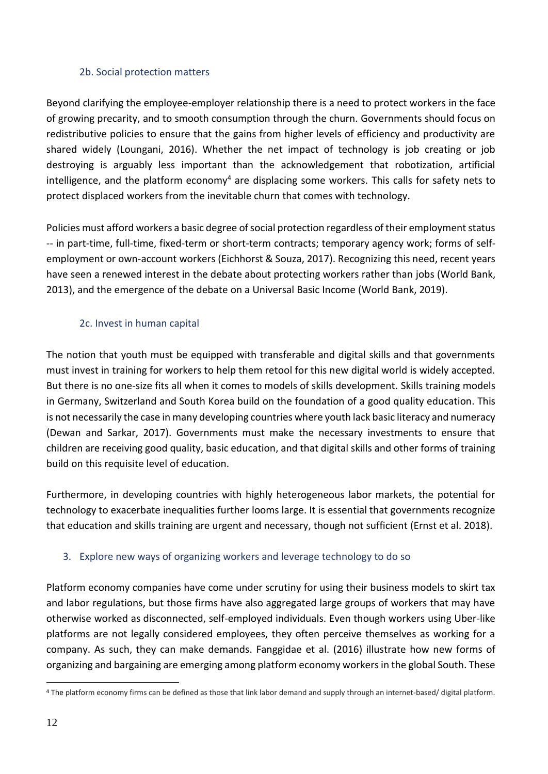#### 2b. Social protection matters

Beyond clarifying the employee-employer relationship there is a need to protect workers in the face of growing precarity, and to smooth consumption through the churn. Governments should focus on redistributive policies to ensure that the gains from higher levels of efficiency and productivity are shared widely (Loungani, 2016). Whether the net impact of technology is job creating or job destroying is arguably less important than the acknowledgement that robotization, artificial intelligence, and the platform economy<sup>4</sup> are displacing some workers. This calls for safety nets to protect displaced workers from the inevitable churn that comes with technology.

Policies must afford workers a basic degree of social protection regardless of their employment status -- in part-time, full-time, fixed-term or short-term contracts; temporary agency work; forms of selfemployment or own-account workers (Eichhorst & Souza, 2017). Recognizing this need, recent years have seen a renewed interest in the debate about protecting workers rather than jobs (World Bank, 2013), and the emergence of the debate on a Universal Basic Income (World Bank, 2019).

#### 2c. Invest in human capital

The notion that youth must be equipped with transferable and digital skills and that governments must invest in training for workers to help them retool for this new digital world is widely accepted. But there is no one-size fits all when it comes to models of skills development. Skills training models in Germany, Switzerland and South Korea build on the foundation of a good quality education. This is not necessarily the case in many developing countries where youth lack basic literacy and numeracy (Dewan and Sarkar, 2017). Governments must make the necessary investments to ensure that children are receiving good quality, basic education, and that digital skills and other forms of training build on this requisite level of education.

Furthermore, in developing countries with highly heterogeneous labor markets, the potential for technology to exacerbate inequalities further looms large. It is essential that governments recognize that education and skills training are urgent and necessary, though not sufficient (Ernst et al. 2018).

### 3. Explore new ways of organizing workers and leverage technology to do so

Platform economy companies have come under scrutiny for using their business models to skirt tax and labor regulations, but those firms have also aggregated large groups of workers that may have otherwise worked as disconnected, self-employed individuals. Even though workers using Uber-like platforms are not legally considered employees, they often perceive themselves as working for a company. As such, they can make demands. Fanggidae et al. (2016) illustrate how new forms of organizing and bargaining are emerging among platform economy workers in the global South. These

 $\overline{a}$ <sup>4</sup> The platform economy firms can be defined as those that link labor demand and supply through an internet-based/ digital platform.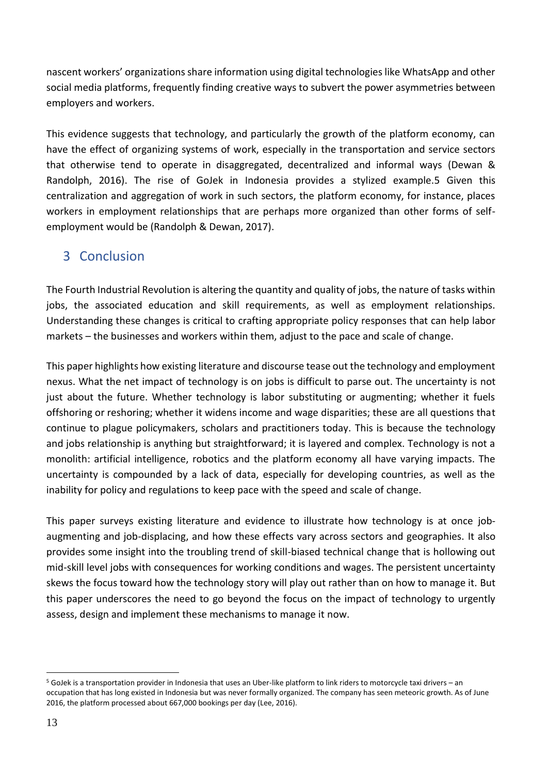nascent workers' organizations share information using digital technologies like WhatsApp and other social media platforms, frequently finding creative ways to subvert the power asymmetries between employers and workers.

This evidence suggests that technology, and particularly the growth of the platform economy, can have the effect of organizing systems of work, especially in the transportation and service sectors that otherwise tend to operate in disaggregated, decentralized and informal ways (Dewan & Randolph, 2016). The rise of GoJek in Indonesia provides a stylized example.5 Given this centralization and aggregation of work in such sectors, the platform economy, for instance, places workers in employment relationships that are perhaps more organized than other forms of selfemployment would be (Randolph & Dewan, 2017).

# 3 Conclusion

The Fourth Industrial Revolution is altering the quantity and quality of jobs, the nature of tasks within jobs, the associated education and skill requirements, as well as employment relationships. Understanding these changes is critical to crafting appropriate policy responses that can help labor markets – the businesses and workers within them, adjust to the pace and scale of change.

This paper highlights how existing literature and discourse tease out the technology and employment nexus. What the net impact of technology is on jobs is difficult to parse out. The uncertainty is not just about the future. Whether technology is labor substituting or augmenting; whether it fuels offshoring or reshoring; whether it widens income and wage disparities; these are all questions that continue to plague policymakers, scholars and practitioners today. This is because the technology and jobs relationship is anything but straightforward; it is layered and complex. Technology is not a monolith: artificial intelligence, robotics and the platform economy all have varying impacts. The uncertainty is compounded by a lack of data, especially for developing countries, as well as the inability for policy and regulations to keep pace with the speed and scale of change.

This paper surveys existing literature and evidence to illustrate how technology is at once jobaugmenting and job-displacing, and how these effects vary across sectors and geographies. It also provides some insight into the troubling trend of skill-biased technical change that is hollowing out mid-skill level jobs with consequences for working conditions and wages. The persistent uncertainty skews the focus toward how the technology story will play out rather than on how to manage it. But this paper underscores the need to go beyond the focus on the impact of technology to urgently assess, design and implement these mechanisms to manage it now.

<sup>5</sup> GoJek is a transportation provider in Indonesia that uses an Uber-like platform to link riders to motorcycle taxi drivers – an occupation that has long existed in Indonesia but was never formally organized. The company has seen meteoric growth. As of June 2016, the platform processed about 667,000 bookings per day (Lee, 2016).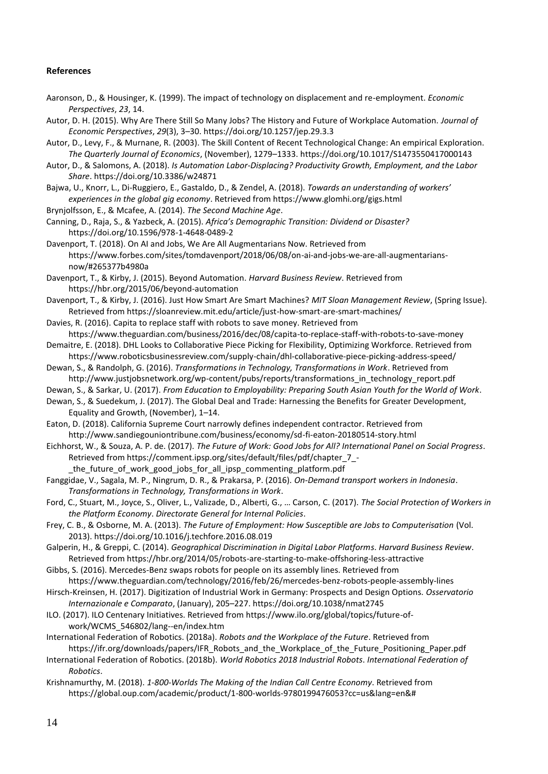#### **References**

Aaronson, D., & Housinger, K. (1999). The impact of technology on displacement and re-employment. *Economic Perspectives*, *23*, 14.

Autor, D. H. (2015). Why Are There Still So Many Jobs? The History and Future of Workplace Automation. *Journal of Economic Perspectives*, *29*(3), 3–30. https://doi.org/10.1257/jep.29.3.3

Autor, D., Levy, F., & Murnane, R. (2003). The Skill Content of Recent Technological Change: An empirical Exploration. *The Quarterly Journal of Economics*, (November), 1279–1333. https://doi.org/10.1017/S1473550417000143

Autor, D., & Salomons, A. (2018). *Is Automation Labor-Displacing? Productivity Growth, Employment, and the Labor Share*. https://doi.org/10.3386/w24871

Bajwa, U., Knorr, L., Di-Ruggiero, E., Gastaldo, D., & Zendel, A. (2018). *Towards an understanding of workers' experiences in the global gig economy*. Retrieved from https://www.glomhi.org/gigs.html

Brynjolfsson, E., & Mcafee, A. (2014). *The Second Machine Age*.

Canning, D., Raja, S., & Yazbeck, A. (2015). *Africa's Demographic Transition: Dividend or Disaster?* https://doi.org/10.1596/978-1-4648-0489-2

Davenport, T. (2018). On AI and Jobs, We Are All Augmentarians Now. Retrieved from https://www.forbes.com/sites/tomdavenport/2018/06/08/on-ai-and-jobs-we-are-all-augmentariansnow/#265377b4980a

Davenport, T., & Kirby, J. (2015). Beyond Automation. *Harvard Business Review*. Retrieved from https://hbr.org/2015/06/beyond-automation

Davenport, T., & Kirby, J. (2016). Just How Smart Are Smart Machines? *MIT Sloan Management Review*, (Spring Issue). Retrieved from https://sloanreview.mit.edu/article/just-how-smart-are-smart-machines/

Davies, R. (2016). Capita to replace staff with robots to save money. Retrieved from https://www.theguardian.com/business/2016/dec/08/capita-to-replace-staff-with-robots-to-save-money

Demaitre, E. (2018). DHL Looks to Collaborative Piece Picking for Flexibility, Optimizing Workforce. Retrieved from https://www.roboticsbusinessreview.com/supply-chain/dhl-collaborative-piece-picking-address-speed/

Dewan, S., & Randolph, G. (2016). *Transformations in Technology, Transformations in Work*. Retrieved from http://www.justjobsnetwork.org/wp-content/pubs/reports/transformations\_in\_technology\_report.pdf

Dewan, S., & Sarkar, U. (2017). *From Education to Employability: Preparing South Asian Youth for the World of Work*.

Dewan, S., & Suedekum, J. (2017). The Global Deal and Trade: Harnessing the Benefits for Greater Development, Equality and Growth, (November), 1–14.

Eaton, D. (2018). California Supreme Court narrowly defines independent contractor. Retrieved from http://www.sandiegouniontribune.com/business/economy/sd-fi-eaton-20180514-story.html

Eichhorst, W., & Souza, A. P. de. (2017). *The Future of Work: Good Jobs for All? International Panel on Social Progress*. Retrieved from https://comment.ipsp.org/sites/default/files/pdf/chapter\_7\_- \_the\_future\_of\_work\_good\_jobs\_for\_all\_ipsp\_commenting\_platform.pdf

Fanggidae, V., Sagala, M. P., Ningrum, D. R., & Prakarsa, P. (2016). *On-Demand transport workers in Indonesia*. *Transformations in Technology, Transformations in Work*.

Ford, C., Stuart, M., Joyce, S., Oliver, L., Valizade, D., Alberti, G., … Carson, C. (2017). *The Social Protection of Workers in the Platform Economy*. *Directorate General for Internal Policies*.

Frey, C. B., & Osborne, M. A. (2013). *The Future of Employment: How Susceptible are Jobs to Computerisation* (Vol. 2013). https://doi.org/10.1016/j.techfore.2016.08.019

Galperin, H., & Greppi, C. (2014). *Geographical Discrimination in Digital Labor Platforms*. *Harvard Business Review*. Retrieved from https://hbr.org/2014/05/robots-are-starting-to-make-offshoring-less-attractive

Gibbs, S. (2016). Mercedes-Benz swaps robots for people on its assembly lines. Retrieved from https://www.theguardian.com/technology/2016/feb/26/mercedes-benz-robots-people-assembly-lines

Hirsch-Kreinsen, H. (2017). Digitization of Industrial Work in Germany: Prospects and Design Options. *Osservatorio Internazionale e Comparato*, (January), 205–227. https://doi.org/10.1038/nmat2745

ILO. (2017). ILO Centenary Initiatives. Retrieved from https://www.ilo.org/global/topics/future-ofwork/WCMS\_546802/lang--en/index.htm

International Federation of Robotics. (2018a). *Robots and the Workplace of the Future*. Retrieved from https://ifr.org/downloads/papers/IFR\_Robots\_and\_the\_Workplace\_of\_the\_Future\_Positioning\_Paper.pdf

International Federation of Robotics. (2018b). *World Robotics 2018 Industrial Robots*. *International Federation of Robotics*.

Krishnamurthy, M. (2018). *1-800-Worlds The Making of the Indian Call Centre Economy*. Retrieved from https://global.oup.com/academic/product/1-800-worlds-9780199476053?cc=us&lang=en&#